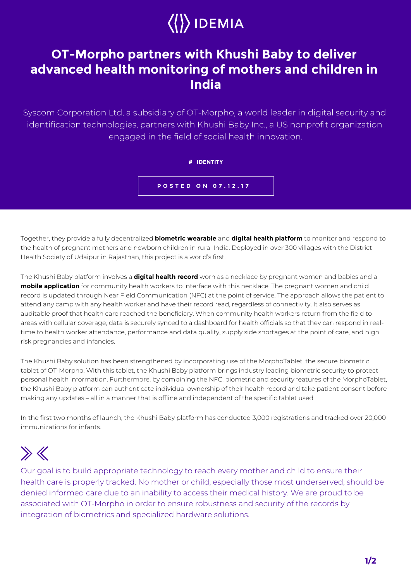

## **OT-Morpho partners with Khushi Baby to deliver advanced health monitoring of mothers and children in India**

Syscom Corporation Ltd, a subsidiary of OT-Morpho, a world leader in digital security and identification technologies, partners with Khushi Baby Inc., a US nonprofit organization engaged in the field of social health innovation.

**# IDENTITY**

**POSTED ON 07.12.17**

Together, they provide a fully decentralized **biometric wearable** and **digital health platform** to monitor and respond to the health of pregnant mothers and newborn children in rural India. Deployed in over 300 villages with the District Health Society of Udaipur in Rajasthan, this project is a world's first.

The Khushi Baby platform involves a **digital health record** worn as a necklace by pregnant women and babies and a **mobile application** for community health workers to interface with this necklace. The pregnant women and child record is updated through Near Field Communication (NFC) at the point of service. The approach allows the patient to attend any camp with any health worker and have their record read, regardless of connectivity. It also serves as auditable proof that health care reached the beneficiary. When community health workers return from the field to areas with cellular coverage, data is securely synced to a dashboard for health officials so that they can respond in realtime to health worker attendance, performance and data quality, supply side shortages at the point of care, and high risk pregnancies and infancies.

The Khushi Baby solution has been strengthened by incorporating use of the MorphoTablet, the secure biometric tablet of OT-Morpho. With this tablet, the Khushi Baby platform brings industry leading biometric security to protect personal health information. Furthermore, by combining the NFC, biometric and security features of the MorphoTablet, the Khushi Baby platform can authenticate individual ownership of their health record and take patient consent before making any updates – all in a manner that is offline and independent of the specific tablet used.

In the first two months of launch, the Khushi Baby platform has conducted 3,000 registrations and tracked over 20,000 immunizations for infants.

## $\gg K$

Our goal is to build appropriate technology to reach every mother and child to ensure their health care is properly tracked. No mother or child, especially those most underserved, should be denied informed care due to an inability to access their medical history. We are proud to be associated with OT-Morpho in order to ensure robustness and security of the records by integration of biometrics and specialized hardware solutions.